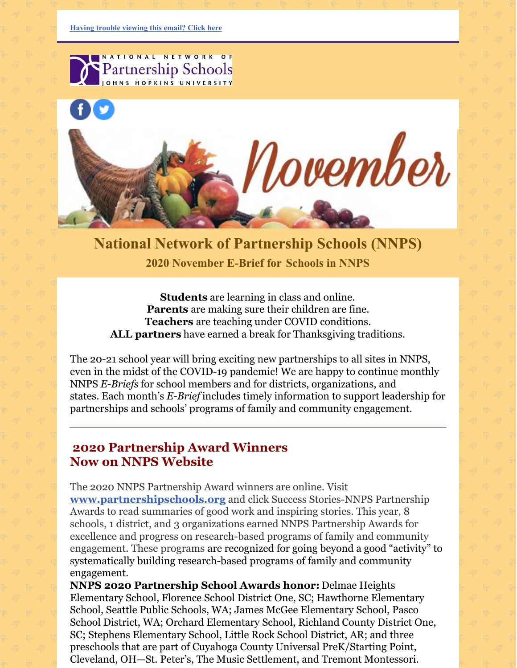

**National Network of Partnership Schools (NNPS) 2020 November E-Brief for [Schools](https://ui.constantcontact.com/rnavmap/emcf/email/view?flow=view&camefrom=view&campaign=584f4ce7-c646-4f84-9174-5970413d58cc) in NNPS**

**Students** are learning in class and online. **Parents** are making sure their children are fine. **Teachers** are teaching under COVID conditions. **ALL partners** have earned a break for Thanksgiving traditions.

The 20-21 school year will bring exciting new partnerships to all sites in NNPS, even in the midst of the COVID-19 pandemic! We are happy to continue monthly NNPS *E-Briefs* for school members and for districts, organizations, and states. Each month's *E-Brief* includes timely information to support leadership for partnerships and schools' programs of family and community engagement.

### **2020 Partnership Award Winners Now on NNPS Website**

The 2020 NNPS Partnership Award winners are online. Visit **[www.partnershipschools.org](http://www.partnershipschools.org/)** and click Success Stories-NNPS Partnership Awards to read summaries of good work and inspiring stories. This year, 8 schools, 1 district, and 3 organizations earned NNPS Partnership Awards for excellence and progress on research-based programs of family and community engagement. These programs are recognized for going beyond a good "activity" to systematically building research-based programs of family and community engagement.

**NNPS 2020 Partnership School Awards honor:** Delmae Heights Elementary School, Florence School District One, SC; Hawthorne Elementary School, Seattle Public Schools, WA; James McGee Elementary School, Pasco School District, WA; Orchard Elementary School, Richland County District One, SC; Stephens Elementary School, Little Rock School District, AR; and three preschools that are part of Cuyahoga County Universal PreK/Starting Point, Cleveland, OH—St. Peter's, The Music Settlement, and Tremont Montessori.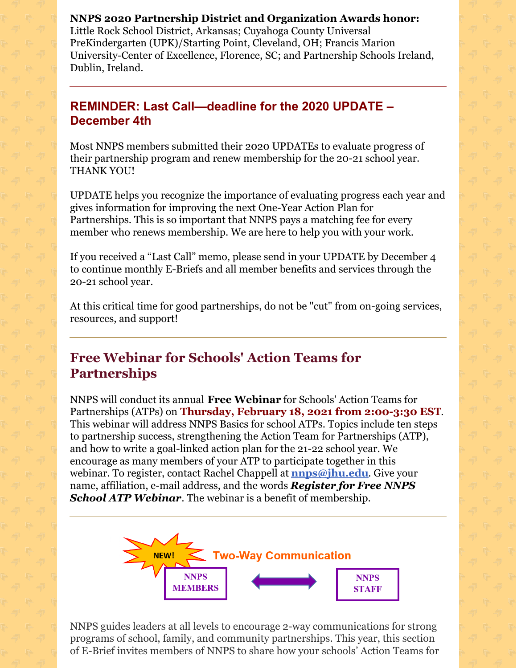**NNPS 2020 Partnership District and Organization Awards honor:** Little Rock School District, Arkansas; Cuyahoga County Universal PreKindergarten (UPK)/Starting Point, Cleveland, OH; Francis Marion University-Center of Excellence, Florence, SC; and Partnership Schools Ireland, Dublin, Ireland.

### **REMINDER: Last Call—deadline for the 2020 UPDATE – December 4th**

Most NNPS members submitted their 2020 UPDATEs to evaluate progress of their partnership program and renew membership for the 20-21 school year. THANK YOU!

UPDATE helps you recognize the importance of evaluating progress each year and gives information for improving the next One-Year Action Plan for Partnerships. This is so important that NNPS pays a matching fee for every member who renews membership. We are here to help you with your work.

If you received a "Last Call" memo, please send in your UPDATE by December 4 to continue monthly E-Briefs and all member benefits and services through the 20-21 school year.

At this critical time for good partnerships, do not be "cut" from on-going services, resources, and support!

# **Free Webinar for Schools' Action Teams for Partnerships**

NNPS will conduct its annual **Free Webinar** for Schools' Action Teams for Partnerships (ATPs) on **Thursday, February 18, 2021 from 2:00-3:30 EST**. This webinar will address NNPS Basics for school ATPs. Topics include ten steps to partnership success, strengthening the Action Team for Partnerships (ATP), and how to write a goal-linked action plan for the 21-22 school year. We encourage as many members of your ATP to participate together in this webinar. To register, contact Rachel Chappell at **[nnps@jhu.edu](mailto:nnps@jhu.edu)**. Give your name, affiliation, e-mail address, and the words *Register for Free NNPS School ATP Webinar*. The webinar is a benefit of membership.



NNPS guides leaders at all levels to encourage 2-way communications for strong programs of school, family, and community partnerships. This year, this section of E-Brief invites members of NNPS to share how your schools' Action Teams for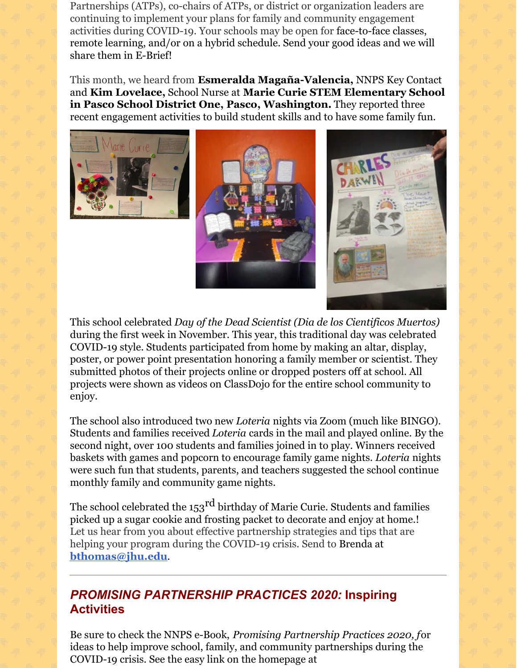Partnerships (ATPs), co-chairs of ATPs, or district or organization leaders are continuing to implement your plans for family and community engagement activities during COVID-19. Your schools may be open for face-to-face classes, remote learning, and/or on a hybrid schedule. Send your good ideas and we will share them in E-Brief!

This month, we heard from **Esmeralda Magaña-Valencia,** NNPS Key Contact and **Kim Lovelace,** School Nurse at **Marie Curie STEM Elementary School in Pasco School District One, Pasco, Washington.** They reported three recent engagement activities to build student skills and to have some family fun.







This school celebrated *Day of the Dead Scientist (Dia de los Cientificos Muertos)* during the first week in November. This year, this traditional day was celebrated COVID-19 style. Students participated from home by making an altar, display, poster, or power point presentation honoring a family member or scientist. They submitted photos of their projects online or dropped posters off at school. All projects were shown as videos on ClassDojo for the entire school community to enjoy.

The school also introduced two new *Loteria* nights via Zoom (much like BINGO). Students and families received *Loteria* cards in the mail and played online. By the second night, over 100 students and families joined in to play. Winners received baskets with games and popcorn to encourage family game nights. *Loteria* nights were such fun that students, parents, and teachers suggested the school continue monthly family and community game nights.

The school celebrated the 153 $^{\rm rd}$  birthday of Marie Curie. Students and families picked up a sugar cookie and frosting packet to decorate and enjoy at home.! Let us hear from you about effective partnership strategies and tips that are helping your program during the COVID-19 crisis. Send to Brenda at **[bthomas@jhu.edu](mailto:bthomas@jhu.edu)**.

# *PROMISING PARTNERSHIP PRACTICES 2020:* **Inspiring Activities**

Be sure to check the NNPS e-Book, *Promising Partnership Practices 2020, f*or ideas to help improve school, family, and community partnerships during the COVID-19 crisis. See the easy link on the homepage at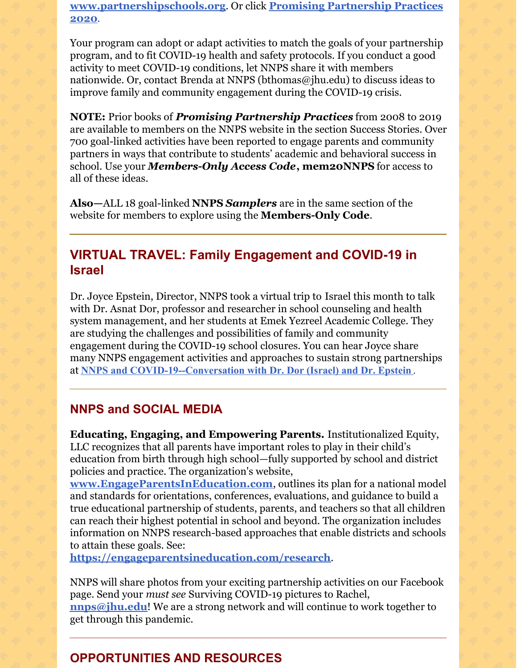**[www.partnershipschools.or](http://www.partnershipschools.org/)[g](https://nam02.safelinks.protection.outlook.com/?url=http%3A%2F%2Fnnps.jhucsos.com%2Fwp-content%2Fuploads%2F2020%2F09%2FPPPBookFinal2020.pdf&data=02%7C01%7Cbthomas%40jhu.edu%7C913fcf561f4e4060d31108d86a0cc48c%7C9fa4f438b1e6473b803f86f8aedf0dec%7C0%7C0%7C637375950363466758&sdata=bKR7F7mSKU2S0lHSFT%2FyDEl%2FLi6LrumObf9xyk9fWm8%3D&reserved=0)**. Or click **Promising Partnership Practices 2020**.

Your program can adopt or adapt activities to match the goals of your partnership program, and to fit COVID-19 health and safety protocols. If you conduct a good activity to meet COVID-19 conditions, let NNPS share it with members nationwide. Or, contact Brenda at NNPS (bthomas@jhu.edu) to discuss ideas to improve family and community engagement during the COVID-19 crisis.

**NOTE:** Prior books of *Promising Partnership Practices* from 2008 to 2019 are available to members on the NNPS website in the section Success Stories. Over 700 goal-linked activities have been reported to engage parents and community partners in ways that contribute to students' academic and behavioral success in school. Use your *Members-Only Access Code***, mem20NNPS** for access to all of these ideas.

**Also—**ALL 18 goal-linked **NNPS** *Samplers* are in the same section of the website for members to explore using the **Members-Only Code**.

### **VIRTUAL TRAVEL: Family Engagement and COVID-19 in Israel**

Dr. Joyce Epstein, Director, NNPS took a virtual trip to Israel this month to talk with Dr. Asnat Dor, professor and researcher in school counseling and health system management, and her students at Emek Yezreel Academic College. They are studying the challenges and possibilities of family and community engagement during the COVID-19 school closures. You can hear Joyce share many NNPS engagement activities and approaches to sustain strong partnerships at **NNPS and [COVID-19--Conversation](https://bit.ly/ZoomDorEpstein) with Dr. Dor (Israel) and Dr. Epstein** .

#### **NNPS and SOCIAL MEDIA**

**Educating, Engaging, and Empowering Parents.** Institutionalized Equity, LLC recognizes that all parents have important roles to play in their child's education from birth through high school—fully supported by school and district policies and practice. The organization's website,

**[www.EngageParentsInEducation.com](https://nam02.safelinks.protection.outlook.com/?url=http%3A%2F%2Fwww.engageparentsineducation.com%2F&data=04%7C01%7Cjepstein%40jhu.edu%7Cc1438d408f5546a3efbf08d873c2d0bc%7C9fa4f438b1e6473b803f86f8aedf0dec%7C0%7C0%7C637386627851871736%7CUnknown%7CTWFpbGZsb3d8eyJWIjoiMC4wLjAwMDAiLCJQIjoiV2luMzIiLCJBTiI6Ik1haWwiLCJXVCI6Mn0%3D%7C1000&sdata=Zijp%2BEr4t2ZfVSnQbELx%2FdqSrgcXQnVM24tncjE571c%3D&reserved=0)**, outlines its plan for a national model and standards for orientations, conferences, evaluations, and guidance to build a true educational partnership of students, parents, and teachers so that all children can reach their highest potential in school and beyond. The organization includes information on NNPS research-based approaches that enable districts and schools to attain these goals. See:

**<https://engageparentsineducation.com/research>**.

NNPS will share photos from your exciting partnership activities on our Facebook page. Send your *must see* Surviving COVID-19 pictures to Rachel, **[nnps@jhu.edu](mailto:nnps@jhu.edu)**! We are a strong network and will continue to work together to

get through this pandemic.

## **OPPORTUNITIES AND RESOURCES**